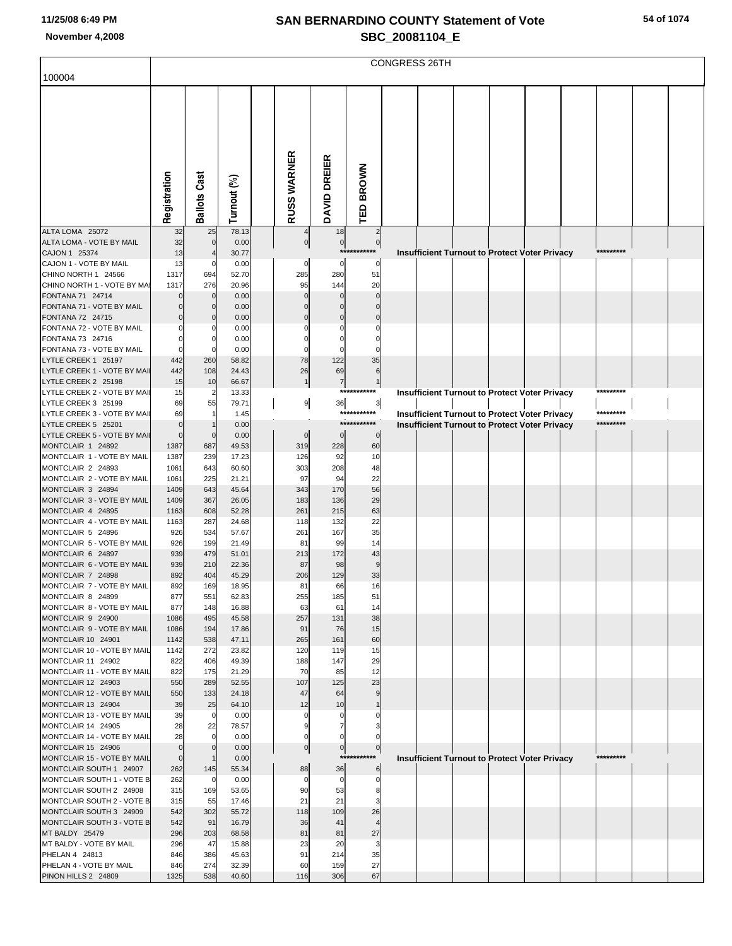|                                                       |                |                          |                |                |                   |                            | CONGRESS 26TH |  |                                                      |                        |  |
|-------------------------------------------------------|----------------|--------------------------|----------------|----------------|-------------------|----------------------------|---------------|--|------------------------------------------------------|------------------------|--|
| 100004                                                |                |                          |                |                |                   |                            |               |  |                                                      |                        |  |
|                                                       |                |                          |                |                |                   |                            |               |  |                                                      |                        |  |
|                                                       |                |                          |                |                |                   |                            |               |  |                                                      |                        |  |
|                                                       |                |                          |                |                |                   |                            |               |  |                                                      |                        |  |
|                                                       |                |                          |                |                |                   |                            |               |  |                                                      |                        |  |
|                                                       |                |                          |                |                |                   |                            |               |  |                                                      |                        |  |
|                                                       |                |                          |                |                |                   |                            |               |  |                                                      |                        |  |
|                                                       |                |                          |                |                | DREIER            | <b>BROWN</b>               |               |  |                                                      |                        |  |
|                                                       |                | Cast                     |                |                |                   |                            |               |  |                                                      |                        |  |
|                                                       |                |                          |                |                |                   |                            |               |  |                                                      |                        |  |
|                                                       | Registration   | Ballots                  | Turnout (%)    | RUSS WARNER    | <b>DAVID</b>      | <b>TED</b>                 |               |  |                                                      |                        |  |
| ALTA LOMA 25072                                       | 32             | 25                       | 78.13          |                | 18                | $\overline{2}$             |               |  |                                                      |                        |  |
| ALTA LOMA - VOTE BY MAIL                              | 32             | $\mathbf 0$              | 0.00           | $\pmb{0}$      | $\overline{0}$    | $\mathbf 0$                |               |  |                                                      |                        |  |
| CAJON 1 25374                                         | 13             | $\overline{\mathcal{L}}$ | 30.77          |                | ***               | *******                    |               |  | <b>Insufficient Turnout to Protect Voter Privacy</b> | *********              |  |
| CAJON 1 - VOTE BY MAIL<br>CHINO NORTH 1 24566         | 13<br>1317     | C<br>694                 | 0.00<br>52.70  | 0<br>285       | 0<br>280          | $\mathbf 0$<br>51          |               |  |                                                      |                        |  |
| CHINO NORTH 1 - VOTE BY MA                            | 1317           | 276                      | 20.96          | 95             | 144               | 20                         |               |  |                                                      |                        |  |
| FONTANA 71 24714                                      |                | $\mathbf 0$              | 0.00           |                | 0                 | $\Omega$                   |               |  |                                                      |                        |  |
| FONTANA 71 - VOTE BY MAIL                             |                | $\Omega$                 | 0.00           |                |                   |                            |               |  |                                                      |                        |  |
| FONTANA 72 24715<br>FONTANA 72 - VOTE BY MAIL         |                | $\mathbf 0$<br>C         | 0.00<br>0.00   | $\Omega$       | 0                 |                            |               |  |                                                      |                        |  |
| FONTANA 73 24716                                      |                | 0                        | 0.00           |                | C                 |                            |               |  |                                                      |                        |  |
| FONTANA 73 - VOTE BY MAIL                             |                | $\mathbf 0$              | 0.00           | $\Omega$       | $\Omega$          |                            |               |  |                                                      |                        |  |
| LYTLE CREEK 1 25197<br>LYTLE CREEK 1 - VOTE BY MAIL   | 442<br>442     | 260<br>108               | 58.82<br>24.43 | 78<br>26       | 122<br>69         | 35<br>6                    |               |  |                                                      |                        |  |
| LYTLE CREEK 2 25198                                   | 15             | 10                       | 66.67          | $\mathbf{1}$   | $\overline{7}$    | $\mathbf 1$                |               |  |                                                      |                        |  |
| LYTLE CREEK 2 - VOTE BY MAII                          | 15             | $\overline{2}$           | 13.33          |                | ***               | *******                    |               |  | Insufficient Turnout to Protect Voter Privacy        | *********              |  |
| LYTLE CREEK 3 25199                                   | 69             | 55                       | 79.71          | 9              | 36                | $\mathbf{3}$               |               |  |                                                      |                        |  |
| LYTLE CREEK 3 - VOTE BY MAII<br>LYTLE CREEK 5 25201   | 69<br>$\Omega$ | 1                        | 1.45<br>0.00   |                |                   | ***********<br>*********** |               |  | Insufficient Turnout to Protect Voter Privacy        | *********<br>********* |  |
| LYTLE CREEK 5 - VOTE BY MAIL                          | $\mathbf{0}$   | $\mathbf 0$              | 0.00           | $\mathbf 0$    | $\mathbf 0$       | $\mathbf 0$                |               |  | <b>Insufficient Turnout to Protect Voter Privacy</b> |                        |  |
| MONTCLAIR 1 24892                                     | 1387           | 687                      | 49.53          | 319            | 228               | 60                         |               |  |                                                      |                        |  |
| MONTCLAIR 1 - VOTE BY MAIL                            | 1387           | 239                      | 17.23          | 126            | 92                | 10                         |               |  |                                                      |                        |  |
| MONTCLAIR 2 24893<br>MONTCLAIR 2 - VOTE BY MAIL       | 1061<br>1061   | 643<br>225               | 60.60<br>21.21 | 303<br>97      | 208<br>94         | 48<br>22                   |               |  |                                                      |                        |  |
| MONTCLAIR 3 24894                                     | 1409           | 643                      | 45.64          | 343            | 170               | 56                         |               |  |                                                      |                        |  |
| MONTCLAIR 3 - VOTE BY MAIL                            | 1409           | 367                      | 26.05          | 183            | 136               | 29                         |               |  |                                                      |                        |  |
| MONTCLAIR 4 24895                                     | 1163           | 608                      | 52.28          | 261            | 215               | 63                         |               |  |                                                      |                        |  |
| MONTCLAIR 4 - VOTE BY MAIL<br>MONTCLAIR 5 24896       | 1163<br>926    | 287<br>534               | 24.68<br>57.67 | 118<br>261     | 132<br>167        | 22<br>35                   |               |  |                                                      |                        |  |
| MONTCLAIR 5 - VOTE BY MAIL                            | 926            | 199                      | 21.49          | 81             | 99                | 14                         |               |  |                                                      |                        |  |
| MONTCLAIR 6 24897                                     | 939            | 479                      | 51.01          | 213            | 172               | 43                         |               |  |                                                      |                        |  |
| MONTCLAIR 6 - VOTE BY MAIL<br>MONTCLAIR 7 24898       | 939<br>892     | 210<br>404               | 22.36<br>45.29 | 87<br>206      | 98<br>129         | 9<br>33                    |               |  |                                                      |                        |  |
| MONTCLAIR 7 - VOTE BY MAIL                            | 892            | 169                      | 18.95          | 81             | 66                | 16                         |               |  |                                                      |                        |  |
| MONTCLAIR 8 24899                                     | 877            | 551                      | 62.83          | 255            | 185               | 51                         |               |  |                                                      |                        |  |
| MONTCLAIR 8 - VOTE BY MAIL                            | 877            | 148                      | 16.88          | 63             | 61                | 14                         |               |  |                                                      |                        |  |
| MONTCLAIR 9 24900<br>MONTCLAIR 9 - VOTE BY MAIL       | 1086<br>1086   | 495<br>194               | 45.58<br>17.86 | 257<br>91      | 131<br>76         | 38<br>15                   |               |  |                                                      |                        |  |
| MONTCLAIR 10 24901                                    | 1142           | 538                      | 47.11          | 265            | 161               | 60                         |               |  |                                                      |                        |  |
| MONTCLAIR 10 - VOTE BY MAIL                           | 1142           | 272                      | 23.82          | 120            | 119               | 15                         |               |  |                                                      |                        |  |
| MONTCLAIR 11 24902                                    | 822            | 406                      | 49.39          | 188            | 147               | 29                         |               |  |                                                      |                        |  |
| MONTCLAIR 11 - VOTE BY MAIL<br>MONTCLAIR 12 24903     | 822<br>550     | 175<br>289               | 21.29<br>52.55 | 70<br>107      | 85<br>125         | 12<br>23                   |               |  |                                                      |                        |  |
| MONTCLAIR 12 - VOTE BY MAIL                           | 550            | 133                      | 24.18          | 47             | 64                | 9                          |               |  |                                                      |                        |  |
| MONTCLAIR 13 24904                                    | 39             | 25                       | 64.10          | 12             | 10                |                            |               |  |                                                      |                        |  |
| MONTCLAIR 13 - VOTE BY MAIL<br>MONTCLAIR 14 24905     | 39<br>28       | 0<br>22                  | 0.00<br>78.57  | g              | 0<br>7            |                            |               |  |                                                      |                        |  |
| MONTCLAIR 14 - VOTE BY MAIL                           | 28             | $\mathbf 0$              | 0.00           |                |                   |                            |               |  |                                                      |                        |  |
| MONTCLAIR 15 24906                                    | $\mathbf{0}$   | $\mathbf 0$              | 0.00           | $\overline{0}$ | 0                 | $\overline{0}$             |               |  |                                                      |                        |  |
| MONTCLAIR 15 - VOTE BY MAIL                           | $\mathbf 0$    |                          | 0.00           |                | ***               |                            |               |  | <b>Insufficient Turnout to Protect Voter Privacy</b> | *********              |  |
| MONTCLAIR SOUTH 1 24907<br>MONTCLAIR SOUTH 1 - VOTE B | 262<br>262     | 145<br>C                 | 55.34<br>0.00  | 88             | 36<br>$\mathbf 0$ | 6<br>$\Omega$              |               |  |                                                      |                        |  |
| MONTCLAIR SOUTH 2 24908                               | 315            | 169                      | 53.65          | 90             | 53                | 8                          |               |  |                                                      |                        |  |
| MONTCLAIR SOUTH 2 - VOTE B                            | 315            | 55                       | 17.46          | 21             | 21                | 3                          |               |  |                                                      |                        |  |
| MONTCLAIR SOUTH 3 24909<br>MONTCLAIR SOUTH 3 - VOTE B | 542<br>542     | 302<br>91                | 55.72<br>16.79 | 118<br>36      | 109<br>41         | 26<br>$\overline{4}$       |               |  |                                                      |                        |  |
| MT BALDY 25479                                        | 296            | 203                      | 68.58          | 81             | 81                | 27                         |               |  |                                                      |                        |  |
| MT BALDY - VOTE BY MAIL                               | 296            | 47                       | 15.88          | 23             | 20                | 3                          |               |  |                                                      |                        |  |
| PHELAN 4 24813                                        | 846            | 386                      | 45.63          | 91             | 214               | 35                         |               |  |                                                      |                        |  |
| PHELAN 4 - VOTE BY MAIL<br>PINON HILLS 2 24809        | 846<br>1325    | 274<br>538               | 32.39<br>40.60 | 60<br>116      | 159<br>306        | 27<br>67                   |               |  |                                                      |                        |  |
|                                                       |                |                          |                |                |                   |                            |               |  |                                                      |                        |  |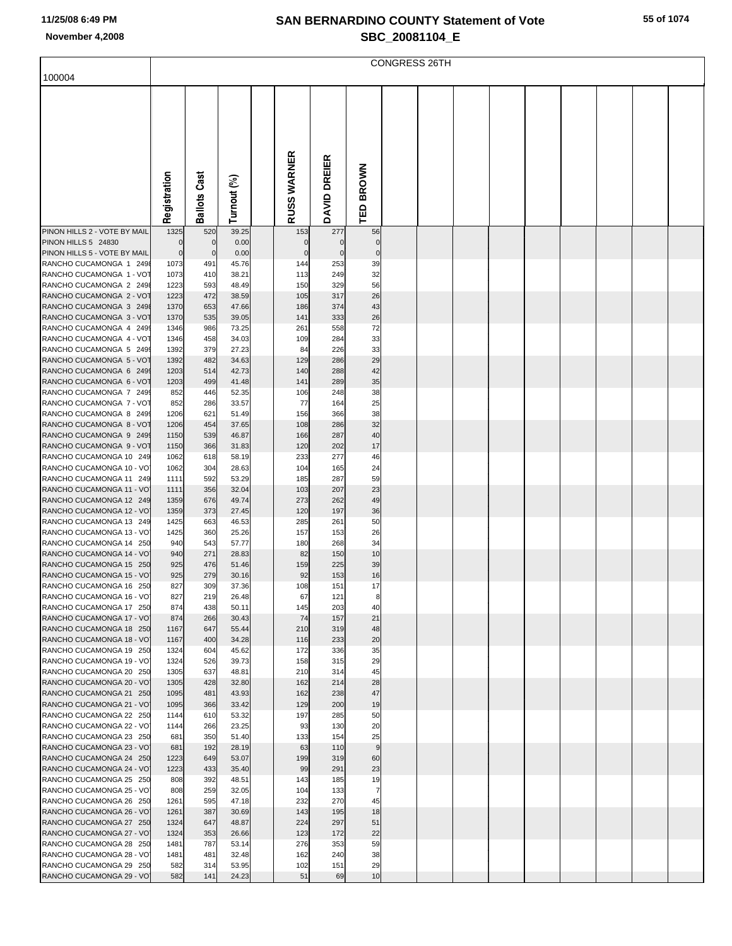| 100004                                              |              |                     |                |                         |              |                | <b>CONGRESS 26TH</b> |  |  |  |  |
|-----------------------------------------------------|--------------|---------------------|----------------|-------------------------|--------------|----------------|----------------------|--|--|--|--|
|                                                     |              |                     |                |                         |              |                |                      |  |  |  |  |
|                                                     |              |                     |                |                         |              |                |                      |  |  |  |  |
|                                                     |              |                     |                |                         |              |                |                      |  |  |  |  |
|                                                     |              |                     |                |                         |              |                |                      |  |  |  |  |
|                                                     |              |                     |                |                         |              |                |                      |  |  |  |  |
|                                                     |              |                     |                |                         |              |                |                      |  |  |  |  |
|                                                     |              |                     |                | USS WARNER              |              |                |                      |  |  |  |  |
|                                                     |              |                     |                |                         |              | <b>BROWN</b>   |                      |  |  |  |  |
|                                                     |              |                     |                |                         |              |                |                      |  |  |  |  |
|                                                     |              |                     |                |                         |              | 品              |                      |  |  |  |  |
|                                                     | Registration | <b>Ballots Cast</b> | Turnout (%)    | $\overline{\mathbf{r}}$ | DAVID DREIER |                |                      |  |  |  |  |
| PINON HILLS 2 - VOTE BY MAIL                        | 1325         | 520                 | 39.25          | 153                     | 277          | 56             |                      |  |  |  |  |
| PINON HILLS 5 24830                                 | $\mathbf 0$  | $\mathbf 0$         | 0.00           | $\mathbf 0$             | $\mathbf 0$  | $\mathbf 0$    |                      |  |  |  |  |
| PINON HILLS 5 - VOTE BY MAIL                        | $\mathbf 0$  | $\mathbf 0$         | 0.00           | $\mathbf 0$             | $\mathbf 0$  | $\mathbf 0$    |                      |  |  |  |  |
| RANCHO CUCAMONGA 1 2498<br>RANCHO CUCAMONGA 1 - VOT | 1073<br>1073 | 491<br>410          | 45.76<br>38.21 | 144<br>113              | 253<br>249   | 39<br>32       |                      |  |  |  |  |
| RANCHO CUCAMONGA 2 2498                             | 1223         | 593                 | 48.49          | 150                     | 329          | 56             |                      |  |  |  |  |
| RANCHO CUCAMONGA 2 - VOT                            | 1223         | 472                 | 38.59          | 105                     | 317          | 26             |                      |  |  |  |  |
| RANCHO CUCAMONGA 3 2498                             | 1370         | 653                 | 47.66          | 186                     | 374          | 43             |                      |  |  |  |  |
| RANCHO CUCAMONGA 3 - VOT                            | 1370         | 535                 | 39.05          | 141                     | 333          | 26             |                      |  |  |  |  |
| RANCHO CUCAMONGA 4 2499<br>RANCHO CUCAMONGA 4 - VOT | 1346<br>1346 | 986<br>458          | 73.25<br>34.03 | 261<br>109              | 558<br>284   | 72<br>33       |                      |  |  |  |  |
| RANCHO CUCAMONGA 5 2499                             | 1392         | 379                 | 27.23          | 84                      | 226          | 33             |                      |  |  |  |  |
| RANCHO CUCAMONGA 5 - VOT                            | 1392         | 482                 | 34.63          | 129                     | 286          | 29             |                      |  |  |  |  |
| RANCHO CUCAMONGA 6 2499                             | 1203         | 514                 | 42.73          | 140                     | 288          | 42             |                      |  |  |  |  |
| RANCHO CUCAMONGA 6 - VOT                            | 1203         | 499                 | 41.48          | 141                     | 289          | 35             |                      |  |  |  |  |
| RANCHO CUCAMONGA 7 2499<br>RANCHO CUCAMONGA 7 - VOT | 852<br>852   | 446<br>286          | 52.35<br>33.57 | 106<br>77               | 248<br>164   | 38<br>25       |                      |  |  |  |  |
| RANCHO CUCAMONGA 8 2499                             | 1206         | 621                 | 51.49          | 156                     | 366          | 38             |                      |  |  |  |  |
| RANCHO CUCAMONGA 8 - VOT                            | 1206         | 454                 | 37.65          | 108                     | 286          | 32             |                      |  |  |  |  |
| RANCHO CUCAMONGA 9 2499                             | 1150         | 539                 | 46.87          | 166                     | 287          | 40             |                      |  |  |  |  |
| RANCHO CUCAMONGA 9 - VOT<br>RANCHO CUCAMONGA 10 249 | 1150         | 366                 | 31.83          | 120<br>233              | 202<br>277   | 17<br>46       |                      |  |  |  |  |
| RANCHO CUCAMONGA 10 - VO                            | 1062<br>1062 | 618<br>304          | 58.19<br>28.63 | 104                     | 165          | 24             |                      |  |  |  |  |
| RANCHO CUCAMONGA 11 249                             | 1111         | 592                 | 53.29          | 185                     | 287          | 59             |                      |  |  |  |  |
| RANCHO CUCAMONGA 11 - VO                            | 1111         | 356                 | 32.04          | 103                     | 207          | 23             |                      |  |  |  |  |
| RANCHO CUCAMONGA 12 249                             | 1359         | 676                 | 49.74          | 273                     | 262          | 49             |                      |  |  |  |  |
| RANCHO CUCAMONGA 12 - VO<br>RANCHO CUCAMONGA 13 249 | 1359<br>1425 | 373<br>663          | 27.45<br>46.53 | 120<br>285              | 197<br>261   | 36<br>50       |                      |  |  |  |  |
| RANCHO CUCAMONGA 13 - VO                            | 1425         | 360                 | 25.26          | 157                     | 153          | 26             |                      |  |  |  |  |
| RANCHO CUCAMONGA 14 250                             | 940          | 543                 | 57.77          | 180                     | 268          | 34             |                      |  |  |  |  |
| RANCHO CUCAMONGA 14 - VO                            | 940          | 271                 | 28.83          | 82                      | 150          | 10             |                      |  |  |  |  |
| RANCHO CUCAMONGA 15 250                             | 925          | 476<br>279          | 51.46          | 159                     | 225          | 39             |                      |  |  |  |  |
| RANCHO CUCAMONGA 15 - VO<br>RANCHO CUCAMONGA 16 250 | 925<br>827   | 309                 | 30.16<br>37.36 | 92<br>108               | 153<br>151   | 16<br>17       |                      |  |  |  |  |
| RANCHO CUCAMONGA 16 - VO                            | 827          | 219                 | 26.48          | 67                      | 121          | 8              |                      |  |  |  |  |
| RANCHO CUCAMONGA 17 250                             | 874          | 438                 | 50.11          | 145                     | 203          | 40             |                      |  |  |  |  |
| RANCHO CUCAMONGA 17 - VO                            | 874          | 266                 | 30.43          | 74                      | 157          | 21             |                      |  |  |  |  |
| RANCHO CUCAMONGA 18 250<br>RANCHO CUCAMONGA 18 - VO | 1167<br>1167 | 647<br>400          | 55.44<br>34.28 | 210<br>116              | 319<br>233   | 48<br>20       |                      |  |  |  |  |
| RANCHO CUCAMONGA 19 250                             | 1324         | 604                 | 45.62          | 172                     | 336          | 35             |                      |  |  |  |  |
| RANCHO CUCAMONGA 19 - VO                            | 1324         | 526                 | 39.73          | 158                     | 315          | 29             |                      |  |  |  |  |
| RANCHO CUCAMONGA 20 250                             | 1305         | 637                 | 48.81          | 210                     | 314          | 45             |                      |  |  |  |  |
| RANCHO CUCAMONGA 20 - VO                            | 1305         | 428                 | 32.80          | 162                     | 214          | 28             |                      |  |  |  |  |
| RANCHO CUCAMONGA 21 250<br>RANCHO CUCAMONGA 21 - VO | 1095<br>1095 | 481<br>366          | 43.93<br>33.42 | 162<br>129              | 238<br>200   | 47<br>19       |                      |  |  |  |  |
| RANCHO CUCAMONGA 22 250                             | 1144         | 610                 | 53.32          | 197                     | 285          | 50             |                      |  |  |  |  |
| RANCHO CUCAMONGA 22 - VO                            | 1144         | 266                 | 23.25          | 93                      | 130          | 20             |                      |  |  |  |  |
| RANCHO CUCAMONGA 23 250                             | 681          | 350                 | 51.40          | 133                     | 154          | 25             |                      |  |  |  |  |
| RANCHO CUCAMONGA 23 - VO<br>RANCHO CUCAMONGA 24 250 | 681<br>1223  | 192<br>649          | 28.19<br>53.07 | 63<br>199               | 110<br>319   | 9<br>60        |                      |  |  |  |  |
| RANCHO CUCAMONGA 24 - VO                            | 1223         | 433                 | 35.40          | 99                      | 291          | 23             |                      |  |  |  |  |
| RANCHO CUCAMONGA 25 250                             | 808          | 392                 | 48.51          | 143                     | 185          | 19             |                      |  |  |  |  |
| RANCHO CUCAMONGA 25 - VO                            | 808          | 259                 | 32.05          | 104                     | 133          | $\overline{7}$ |                      |  |  |  |  |
| RANCHO CUCAMONGA 26 250                             | 1261         | 595                 | 47.18          | 232                     | 270          | 45             |                      |  |  |  |  |
| RANCHO CUCAMONGA 26 - VO<br>RANCHO CUCAMONGA 27 250 | 1261<br>1324 | 387<br>647          | 30.69<br>48.87 | 143<br>224              | 195<br>297   | 18<br>51       |                      |  |  |  |  |
| RANCHO CUCAMONGA 27 - VO                            | 1324         | 353                 | 26.66          | 123                     | 172          | 22             |                      |  |  |  |  |
| RANCHO CUCAMONGA 28 250                             | 1481         | 787                 | 53.14          | 276                     | 353          | 59             |                      |  |  |  |  |
| RANCHO CUCAMONGA 28 - VO                            | 1481         | 481                 | 32.48          | 162                     | 240          | 38             |                      |  |  |  |  |
| RANCHO CUCAMONGA 29 250<br>RANCHO CUCAMONGA 29 - VO | 582<br>582   | 314<br>141          | 53.95<br>24.23 | 102<br>51               | 151<br>69    | 29<br>10       |                      |  |  |  |  |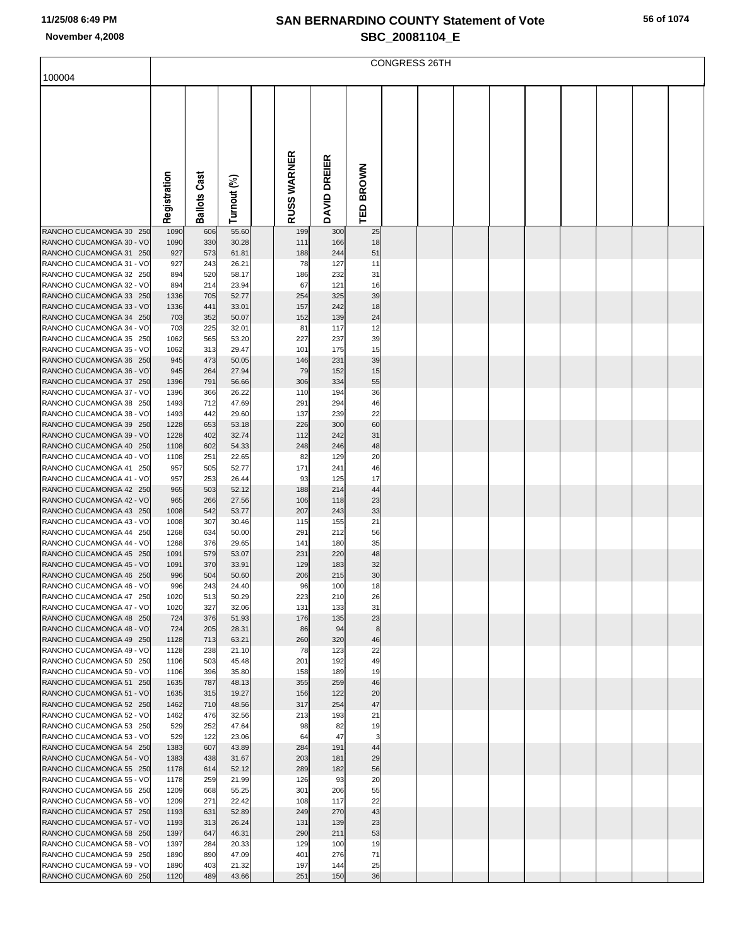|                                                                                                                                        | <b>CONGRESS 26TH</b>             |                                 |                                           |  |                               |                                 |                            |  |  |  |  |  |  |  |  |
|----------------------------------------------------------------------------------------------------------------------------------------|----------------------------------|---------------------------------|-------------------------------------------|--|-------------------------------|---------------------------------|----------------------------|--|--|--|--|--|--|--|--|
| 100004                                                                                                                                 |                                  |                                 |                                           |  |                               |                                 |                            |  |  |  |  |  |  |  |  |
|                                                                                                                                        | Registration                     | あ<br>යී<br>Ballots              | Turnout (%)                               |  | RUSS WARNER                   | DAVID DREIER                    | TED BROWN                  |  |  |  |  |  |  |  |  |
| RANCHO CUCAMONGA 30 250                                                                                                                | 1090                             | 606                             | 55.60                                     |  | 199                           | 300                             | 25                         |  |  |  |  |  |  |  |  |
| RANCHO CUCAMONGA 30 - VO<br>RANCHO CUCAMONGA 31 250<br>RANCHO CUCAMONGA 31 - VO<br>RANCHO CUCAMONGA 32 250<br>RANCHO CUCAMONGA 32 - VO | 1090<br>927<br>927<br>894<br>894 | 330<br>573<br>243<br>520<br>214 | 30.28<br>61.81<br>26.21<br>58.17<br>23.94 |  | 111<br>188<br>78<br>186<br>67 | 166<br>244<br>127<br>232<br>121 | 18<br>51<br>11<br>31<br>16 |  |  |  |  |  |  |  |  |
| RANCHO CUCAMONGA 33 250                                                                                                                | 1336                             | 705                             | 52.77                                     |  | 254                           | 325                             | 39                         |  |  |  |  |  |  |  |  |
| RANCHO CUCAMONGA 33 - VO<br>RANCHO CUCAMONGA 34 250                                                                                    | 1336<br>703                      | 441<br>352                      | 33.01<br>50.07                            |  | 157<br>152                    | 242<br>139                      | 18<br>24                   |  |  |  |  |  |  |  |  |
| RANCHO CUCAMONGA 34 - VO                                                                                                               | 703                              | 225                             | 32.01                                     |  | 81                            | 117                             | 12                         |  |  |  |  |  |  |  |  |
| RANCHO CUCAMONGA 35 250<br>RANCHO CUCAMONGA 35 - VO                                                                                    | 1062<br>1062                     | 565<br>313                      | 53.20<br>29.47                            |  | 227<br>101                    | 237<br>175                      | 39<br>15                   |  |  |  |  |  |  |  |  |
| RANCHO CUCAMONGA 36 250                                                                                                                | 945                              | 473                             | 50.05                                     |  | 146                           | 231                             | 39                         |  |  |  |  |  |  |  |  |
| RANCHO CUCAMONGA 36 - VO                                                                                                               | 945                              | 264                             | 27.94                                     |  | 79                            | 152                             | 15                         |  |  |  |  |  |  |  |  |
| RANCHO CUCAMONGA 37 250<br>RANCHO CUCAMONGA 37 - VO                                                                                    | 1396<br>1396                     | 791<br>366                      | 56.66<br>26.22                            |  | 306<br>110                    | 334<br>194                      | 55<br>36                   |  |  |  |  |  |  |  |  |
| RANCHO CUCAMONGA 38 250                                                                                                                | 1493                             | 712                             | 47.69                                     |  | 291                           | 294                             | 46                         |  |  |  |  |  |  |  |  |
| RANCHO CUCAMONGA 38 - VO<br>RANCHO CUCAMONGA 39 250                                                                                    | 1493<br>1228                     | 442<br>653                      | 29.60<br>53.18                            |  | 137<br>226                    | 239<br>300                      | 22<br>60                   |  |  |  |  |  |  |  |  |
| RANCHO CUCAMONGA 39 - VO                                                                                                               | 1228                             | 402                             | 32.74                                     |  | 112                           | 242                             | 31                         |  |  |  |  |  |  |  |  |
| RANCHO CUCAMONGA 40 250                                                                                                                | 1108                             | 602                             | 54.33                                     |  | 248                           | 246                             | 48                         |  |  |  |  |  |  |  |  |
| RANCHO CUCAMONGA 40 - VO<br>RANCHO CUCAMONGA 41 250                                                                                    | 1108<br>957                      | 251<br>505                      | 22.65<br>52.77                            |  | 82<br>171                     | 129<br>241                      | 20<br>46                   |  |  |  |  |  |  |  |  |
| RANCHO CUCAMONGA 41 - VO                                                                                                               | 957                              | 253                             | 26.44                                     |  | 93                            | 125                             | 17                         |  |  |  |  |  |  |  |  |
| RANCHO CUCAMONGA 42 250<br>RANCHO CUCAMONGA 42 - VO                                                                                    | 965<br>965                       | 503<br>266                      | 52.12<br>27.56                            |  | 188<br>106                    | 214<br>118                      | 44<br>23                   |  |  |  |  |  |  |  |  |
| RANCHO CUCAMONGA 43 250                                                                                                                | 1008                             | 542                             | 53.77                                     |  | 207                           | 243                             | 33                         |  |  |  |  |  |  |  |  |
| RANCHO CUCAMONGA 43 - VO                                                                                                               | 1008                             | 307                             | 30.46                                     |  | 115                           | 155                             | 21                         |  |  |  |  |  |  |  |  |
| RANCHO CUCAMONGA 44 250<br>RANCHO CUCAMONGA 44 - VO                                                                                    | 1268<br>1268                     | 634<br>376                      | 50.00<br>29.65                            |  | 291<br>141                    | 212<br>180                      | 56<br>35                   |  |  |  |  |  |  |  |  |
| RANCHO CUCAMONGA 45 250                                                                                                                | 1091                             | 579                             | 53.07                                     |  | 231                           | 220                             | 48                         |  |  |  |  |  |  |  |  |
| RANCHO CUCAMONGA 45 - VO<br>RANCHO CUCAMONGA 46 250                                                                                    | 1091<br>996                      | 370<br>504                      | 33.91<br>50.60                            |  | 129<br>206                    | 183<br>215                      | 32<br>30                   |  |  |  |  |  |  |  |  |
| RANCHO CUCAMONGA 46 - VO                                                                                                               | 996                              | 243                             | 24.40                                     |  | 96                            | 100                             | 18                         |  |  |  |  |  |  |  |  |
| RANCHO CUCAMONGA 47 250                                                                                                                | 1020                             | 513                             | 50.29                                     |  | 223                           | 210                             | 26                         |  |  |  |  |  |  |  |  |
| RANCHO CUCAMONGA 47 - VO<br>RANCHO CUCAMONGA 48 250                                                                                    | 1020<br>724                      | 327<br>376                      | 32.06<br>51.93                            |  | 131<br>176                    | 133<br>135                      | 31<br>23                   |  |  |  |  |  |  |  |  |
| RANCHO CUCAMONGA 48 - VO                                                                                                               | 724                              | 205                             | 28.31                                     |  | 86                            | 94                              | 8                          |  |  |  |  |  |  |  |  |
| RANCHO CUCAMONGA 49 250<br>RANCHO CUCAMONGA 49 - VO                                                                                    | 1128<br>1128                     | 713<br>238                      | 63.21<br>21.10                            |  | 260<br>78                     | 320<br>123                      | 46<br>22                   |  |  |  |  |  |  |  |  |
| RANCHO CUCAMONGA 50 250                                                                                                                | 1106                             | 503                             | 45.48                                     |  | 201                           | 192                             | 49                         |  |  |  |  |  |  |  |  |
| RANCHO CUCAMONGA 50 - VO                                                                                                               | 1106                             | 396                             | 35.80                                     |  | 158                           | 189                             | 19                         |  |  |  |  |  |  |  |  |
| RANCHO CUCAMONGA 51 250<br>RANCHO CUCAMONGA 51 - VO                                                                                    | 1635<br>1635                     | 787<br>315                      | 48.13<br>19.27                            |  | 355<br>156                    | 259<br>122                      | 46<br>20                   |  |  |  |  |  |  |  |  |
| RANCHO CUCAMONGA 52 250                                                                                                                | 1462                             | 710                             | 48.56                                     |  | 317                           | 254                             | 47                         |  |  |  |  |  |  |  |  |
| RANCHO CUCAMONGA 52 - VO<br>RANCHO CUCAMONGA 53 250                                                                                    | 1462<br>529                      | 476<br>252                      | 32.56<br>47.64                            |  | 213<br>98                     | 193<br>82                       | 21<br>19                   |  |  |  |  |  |  |  |  |
| RANCHO CUCAMONGA 53 - VO                                                                                                               | 529                              | 122                             | 23.06                                     |  | 64                            | 47                              | 3                          |  |  |  |  |  |  |  |  |
| RANCHO CUCAMONGA 54 250                                                                                                                | 1383                             | 607                             | 43.89                                     |  | 284                           | 191                             | 44                         |  |  |  |  |  |  |  |  |
| RANCHO CUCAMONGA 54 - VO<br>RANCHO CUCAMONGA 55 250                                                                                    | 1383<br>1178                     | 438<br>614                      | 31.67<br>52.12                            |  | 203<br>289                    | 181<br>182                      | 29<br>56                   |  |  |  |  |  |  |  |  |
| RANCHO CUCAMONGA 55 - VO                                                                                                               | 1178                             | 259                             | 21.99                                     |  | 126                           | 93                              | 20                         |  |  |  |  |  |  |  |  |
| RANCHO CUCAMONGA 56 250<br>RANCHO CUCAMONGA 56 - VO                                                                                    | 1209<br>1209                     | 668<br>271                      | 55.25<br>22.42                            |  | 301<br>108                    | 206<br>117                      | 55<br>22                   |  |  |  |  |  |  |  |  |
| RANCHO CUCAMONGA 57 250                                                                                                                | 1193                             | 631                             | 52.89                                     |  | 249                           | 270                             | 43                         |  |  |  |  |  |  |  |  |
| RANCHO CUCAMONGA 57 - VO                                                                                                               | 1193                             | 313                             | 26.24                                     |  | 131                           | 139                             | 23                         |  |  |  |  |  |  |  |  |
| RANCHO CUCAMONGA 58 250<br>RANCHO CUCAMONGA 58 - VO                                                                                    | 1397<br>1397                     | 647<br>284                      | 46.31<br>20.33                            |  | 290<br>129                    | 211<br>100                      | 53<br>19                   |  |  |  |  |  |  |  |  |
| RANCHO CUCAMONGA 59 250                                                                                                                | 1890                             | 890                             | 47.09                                     |  | 401                           | 276                             | 71                         |  |  |  |  |  |  |  |  |
| RANCHO CUCAMONGA 59 - VO<br>RANCHO CUCAMONGA 60 250                                                                                    | 1890<br>1120                     | 403<br>489                      | 21.32<br>43.66                            |  | 197<br>251                    | 144<br>150                      | 25<br>36                   |  |  |  |  |  |  |  |  |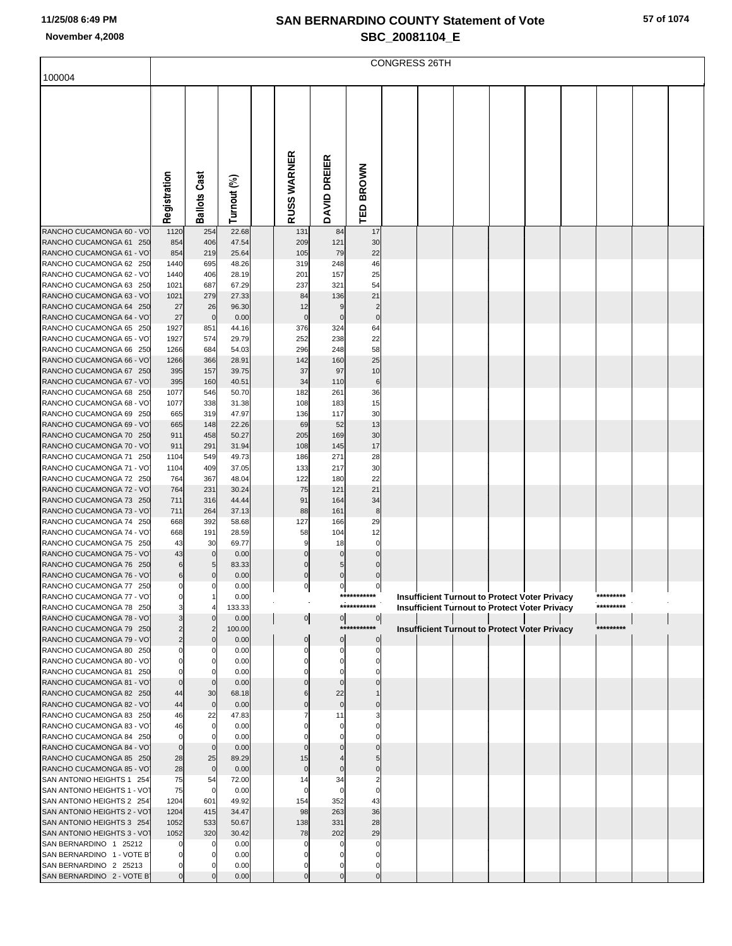| 100004                                                |                                  |                     |                |                    |                   |                         | <b>CONGRESS 26TH</b> |  |                                                      |  |           |  |
|-------------------------------------------------------|----------------------------------|---------------------|----------------|--------------------|-------------------|-------------------------|----------------------|--|------------------------------------------------------|--|-----------|--|
|                                                       |                                  |                     |                |                    |                   |                         |                      |  |                                                      |  |           |  |
|                                                       |                                  |                     |                |                    |                   |                         |                      |  |                                                      |  |           |  |
|                                                       |                                  |                     |                |                    |                   |                         |                      |  |                                                      |  |           |  |
|                                                       |                                  |                     |                |                    |                   |                         |                      |  |                                                      |  |           |  |
|                                                       |                                  |                     |                |                    |                   |                         |                      |  |                                                      |  |           |  |
|                                                       |                                  |                     |                |                    |                   |                         |                      |  |                                                      |  |           |  |
|                                                       |                                  |                     |                |                    |                   |                         |                      |  |                                                      |  |           |  |
|                                                       |                                  |                     |                |                    |                   | <b>BROWN</b>            |                      |  |                                                      |  |           |  |
|                                                       |                                  |                     |                |                    |                   |                         |                      |  |                                                      |  |           |  |
|                                                       |                                  |                     |                |                    |                   |                         |                      |  |                                                      |  |           |  |
|                                                       | Registration                     | <b>Ballots Cast</b> | Turnout (%)    | <b>RUSS WARNER</b> | DAVID DREIER      | $\overline{\mathsf{B}}$ |                      |  |                                                      |  |           |  |
| RANCHO CUCAMONGA 60 - VO                              |                                  |                     | 22.68          |                    |                   | 17                      |                      |  |                                                      |  |           |  |
| RANCHO CUCAMONGA 61 250                               | 1120<br>854                      | 254<br>406          | 47.54          | 131<br>209         | 84<br>121         | 30                      |                      |  |                                                      |  |           |  |
| RANCHO CUCAMONGA 61 - VO                              | 854                              | 219                 | 25.64          | 105                | 79                | 22                      |                      |  |                                                      |  |           |  |
| RANCHO CUCAMONGA 62 250                               | 1440                             | 695                 | 48.26          | 319                | 248               | 46                      |                      |  |                                                      |  |           |  |
| RANCHO CUCAMONGA 62 - VO                              | 1440                             | 406                 | 28.19          | 201                | 157               | 25                      |                      |  |                                                      |  |           |  |
| RANCHO CUCAMONGA 63 250                               | 1021                             | 687                 | 67.29          | 237                | 321               | 54                      |                      |  |                                                      |  |           |  |
| RANCHO CUCAMONGA 63 - VO<br>RANCHO CUCAMONGA 64 250   | 1021<br>27                       | 279<br>26           | 27.33<br>96.30 | 84<br>12           | 136<br>9          | 21<br>$\overline{2}$    |                      |  |                                                      |  |           |  |
| RANCHO CUCAMONGA 64 - VO                              | 27                               | $\mathbf 0$         | 0.00           | $\mathbf 0$        | $\mathbf 0$       | $\mathbf 0$             |                      |  |                                                      |  |           |  |
| RANCHO CUCAMONGA 65 250                               | 1927                             | 851                 | 44.16          | 376                | 324               | 64                      |                      |  |                                                      |  |           |  |
| RANCHO CUCAMONGA 65 - VO                              | 1927                             | 574                 | 29.79          | 252                | 238               | 22                      |                      |  |                                                      |  |           |  |
| RANCHO CUCAMONGA 66 250                               | 1266                             | 684                 | 54.03          | 296                | 248               | 58                      |                      |  |                                                      |  |           |  |
| RANCHO CUCAMONGA 66 - VO<br>RANCHO CUCAMONGA 67 250   | 1266<br>395                      | 366<br>157          | 28.91<br>39.75 | 142<br>37          | 160<br>97         | 25<br>10                |                      |  |                                                      |  |           |  |
| RANCHO CUCAMONGA 67 - VO                              | 395                              | 160                 | 40.51          | 34                 | 110               | 6                       |                      |  |                                                      |  |           |  |
| RANCHO CUCAMONGA 68 250                               | 1077                             | 546                 | 50.70          | 182                | 261               | 36                      |                      |  |                                                      |  |           |  |
| RANCHO CUCAMONGA 68 - VO                              | 1077                             | 338                 | 31.38          | 108                | 183               | 15                      |                      |  |                                                      |  |           |  |
| RANCHO CUCAMONGA 69 250                               | 665                              | 319                 | 47.97          | 136                | 117               | 30                      |                      |  |                                                      |  |           |  |
| RANCHO CUCAMONGA 69 - VO                              | 665                              | 148                 | 22.26          | 69                 | 52                | 13                      |                      |  |                                                      |  |           |  |
| RANCHO CUCAMONGA 70 250<br>RANCHO CUCAMONGA 70 - VO   | 911<br>911                       | 458<br>291          | 50.27<br>31.94 | 205<br>108         | 169<br>145        | 30<br>17                |                      |  |                                                      |  |           |  |
| RANCHO CUCAMONGA 71 250                               | 1104                             | 549                 | 49.73          | 186                | 271               | 28                      |                      |  |                                                      |  |           |  |
| RANCHO CUCAMONGA 71 - VO                              | 1104                             | 409                 | 37.05          | 133                | 217               | 30                      |                      |  |                                                      |  |           |  |
| RANCHO CUCAMONGA 72 250                               | 764                              | 367                 | 48.04          | 122                | 180               | 22                      |                      |  |                                                      |  |           |  |
| RANCHO CUCAMONGA 72 - VO                              | 764                              | 231                 | 30.24          | 75                 | 121               | 21                      |                      |  |                                                      |  |           |  |
| RANCHO CUCAMONGA 73 250<br>RANCHO CUCAMONGA 73 - VO   | 711<br>711                       | 316<br>264          | 44.44<br>37.13 | 91<br>88           | 164<br>161        | 34<br>$\bf8$            |                      |  |                                                      |  |           |  |
| RANCHO CUCAMONGA 74 250                               | 668                              | 392                 | 58.68          | 127                | 166               | 29                      |                      |  |                                                      |  |           |  |
| RANCHO CUCAMONGA 74 - VO                              | 668                              | 191                 | 28.59          | 58                 | 104               | 12                      |                      |  |                                                      |  |           |  |
| RANCHO CUCAMONGA 75 250                               | 43                               | 30                  | 69.77          | g                  | 18                | $\mathbf 0$             |                      |  |                                                      |  |           |  |
| RANCHO CUCAMONGA 75 - VO                              | 43                               | $\mathbf 0$         | 0.00           | $\Omega$           |                   | $\Omega$                |                      |  |                                                      |  |           |  |
| RANCHO CUCAMONGA 76 250<br>RANCHO CUCAMONGA 76 - VO   | 6<br>6                           | 5<br>$\mathbf 0$    | 83.33<br>0.00  | $\mathbf 0$        | $\mathbf 0$       | $\mathbf 0$             |                      |  |                                                      |  |           |  |
| RANCHO CUCAMONGA 77 250                               |                                  |                     | 0.00           |                    |                   | $\mathbf{0}$            |                      |  |                                                      |  |           |  |
| RANCHO CUCAMONGA 77 - VO                              | $\Omega$                         |                     | 0.00           |                    |                   | ***********             |                      |  | <b>Insufficient Turnout to Protect Voter Privacy</b> |  | ********* |  |
| RANCHO CUCAMONGA 78 250                               |                                  |                     | 133.33         |                    |                   | ***********             |                      |  | <b>Insufficient Turnout to Protect Voter Privacy</b> |  | ********* |  |
| RANCHO CUCAMONGA 78 - VO                              | 3                                |                     | 0.00           | $\overline{0}$     | $\overline{0}$    | $\overline{0}$          |                      |  |                                                      |  |           |  |
| RANCHO CUCAMONGA 79 250<br>RANCHO CUCAMONGA 79 - VO   | $\overline{2}$<br>$\overline{c}$ | $\overline{2}$      | 100.00<br>0.00 |                    | ***<br>$\bf{0}$   | $\mathbf 0$             |                      |  | Insufficient Turnout to Protect Voter Privacy        |  | ********* |  |
| RANCHO CUCAMONGA 80 250                               |                                  |                     | 0.00           |                    | $\Omega$          | $\Omega$                |                      |  |                                                      |  |           |  |
| RANCHO CUCAMONGA 80 - VO                              |                                  |                     | 0.00           |                    | O                 |                         |                      |  |                                                      |  |           |  |
| RANCHO CUCAMONGA 81 250                               |                                  |                     | 0.00           |                    |                   |                         |                      |  |                                                      |  |           |  |
| RANCHO CUCAMONGA 81 - VO                              | $\Omega$                         | $\Omega$            | 0.00           |                    | $\Omega$          |                         |                      |  |                                                      |  |           |  |
| RANCHO CUCAMONGA 82 250<br>RANCHO CUCAMONGA 82 - VO   | 44<br>44                         | 30<br>$\mathbf 0$   | 68.18          |                    | 22<br>$\mathbf 0$ |                         |                      |  |                                                      |  |           |  |
| RANCHO CUCAMONGA 83 250                               | 46                               | 22                  | 0.00<br>47.83  |                    | 11                |                         |                      |  |                                                      |  |           |  |
| RANCHO CUCAMONGA 83 - VO                              | 46                               | $\mathbf 0$         | 0.00           |                    | $\Omega$          |                         |                      |  |                                                      |  |           |  |
| RANCHO CUCAMONGA 84 250                               | 0                                |                     | 0.00           |                    |                   |                         |                      |  |                                                      |  |           |  |
| RANCHO CUCAMONGA 84 - VO                              | $\mathbf 0$                      | $\Omega$            | 0.00           |                    |                   |                         |                      |  |                                                      |  |           |  |
| RANCHO CUCAMONGA 85 250                               | 28<br>28                         | 25<br>$\mathbf 0$   | 89.29          | 15<br>$\mathbf 0$  | $\Omega$          |                         |                      |  |                                                      |  |           |  |
| RANCHO CUCAMONGA 85 - VO<br>SAN ANTONIO HEIGHTS 1 254 | 75                               | 54                  | 0.00<br>72.00  | 14                 | 34                |                         |                      |  |                                                      |  |           |  |
| SAN ANTONIO HEIGHTS 1 - VOT                           | 75                               | $\mathbf 0$         | 0.00           |                    |                   | $\Omega$                |                      |  |                                                      |  |           |  |
| SAN ANTONIO HEIGHTS 2 254                             | 1204                             | 601                 | 49.92          | 154                | 352               | 43                      |                      |  |                                                      |  |           |  |
| SAN ANTONIO HEIGHTS 2 - VOT                           | 1204                             | 415                 | 34.47          | 98                 | 263               | 36                      |                      |  |                                                      |  |           |  |
| SAN ANTONIO HEIGHTS 3 254                             | 1052                             | 533                 | 50.67          | 138                | 331               | 28                      |                      |  |                                                      |  |           |  |
| SAN ANTONIO HEIGHTS 3 - VOT<br>SAN BERNARDINO 1 25212 | 1052                             | 320<br>0            | 30.42<br>0.00  | 78                 | 202               | 29<br>0                 |                      |  |                                                      |  |           |  |
| SAN BERNARDINO 1 - VOTE B                             |                                  |                     | 0.00           |                    |                   |                         |                      |  |                                                      |  |           |  |
| SAN BERNARDINO 2 25213                                |                                  |                     | 0.00           |                    |                   |                         |                      |  |                                                      |  |           |  |
| SAN BERNARDINO 2 - VOTE B                             |                                  |                     | 0.00           |                    | $\mathbf 0$       | $\Omega$                |                      |  |                                                      |  |           |  |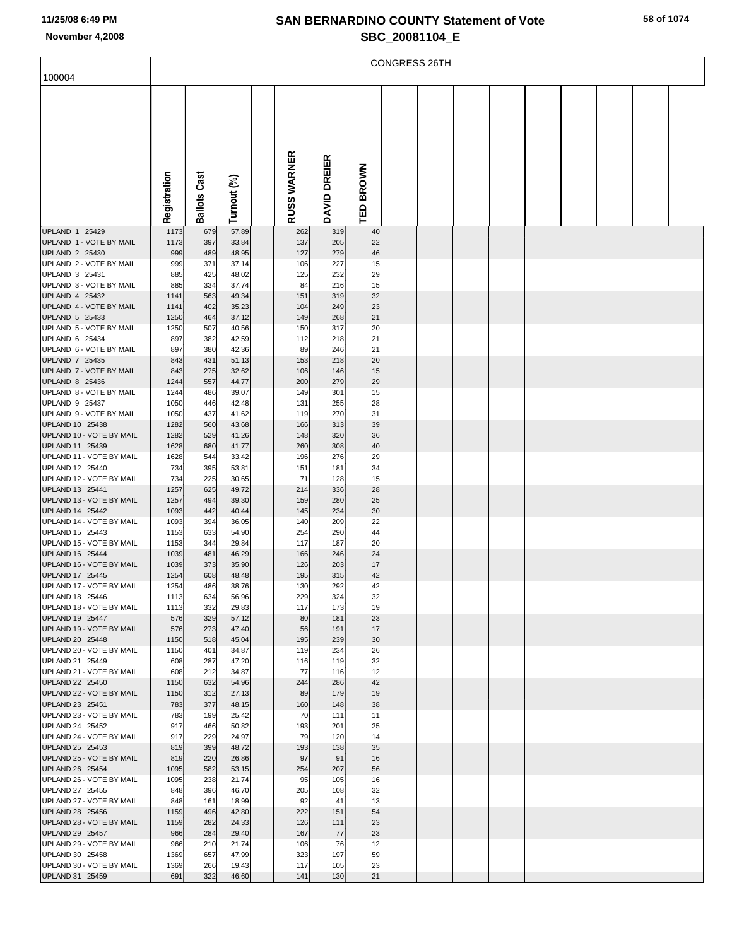|                                             |              |                   |                |                    |              |           | CONGRESS 26TH |  |  |  |  |
|---------------------------------------------|--------------|-------------------|----------------|--------------------|--------------|-----------|---------------|--|--|--|--|
| 100004                                      |              |                   |                |                    |              |           |               |  |  |  |  |
|                                             |              |                   |                |                    |              |           |               |  |  |  |  |
|                                             |              |                   |                |                    |              |           |               |  |  |  |  |
|                                             |              |                   |                |                    |              |           |               |  |  |  |  |
|                                             |              |                   |                |                    |              |           |               |  |  |  |  |
|                                             |              | <u>ল</u>          |                |                    | DREIER       |           |               |  |  |  |  |
|                                             |              |                   |                |                    |              |           |               |  |  |  |  |
|                                             | Registration | <b>Ballots Ca</b> | Turnout (%)    | <b>RUSS WARNER</b> | <b>DAVID</b> | TED BROWN |               |  |  |  |  |
|                                             |              |                   |                |                    |              |           |               |  |  |  |  |
| UPLAND 1 25429<br>UPLAND 1 - VOTE BY MAIL   | 1173         | 679               | 57.89          | 262                | 319          | 40<br>22  |               |  |  |  |  |
| UPLAND 2 25430                              | 1173<br>999  | 397<br>489        | 33.84<br>48.95 | 137<br>127         | 205<br>279   | 46        |               |  |  |  |  |
| UPLAND 2 - VOTE BY MAIL                     | 999          | 371               | 37.14          | 106                | 227          | 15        |               |  |  |  |  |
| UPLAND 3 25431<br>UPLAND 3 - VOTE BY MAIL   | 885<br>885   | 425<br>334        | 48.02<br>37.74 | 125<br>84          | 232<br>216   | 29<br>15  |               |  |  |  |  |
| UPLAND 4 25432                              | 1141         | 563               | 49.34          | 151                | 319          | 32        |               |  |  |  |  |
| UPLAND 4 - VOTE BY MAIL<br>UPLAND 5 25433   | 1141<br>1250 | 402<br>464        | 35.23<br>37.12 | 104<br>149         | 249<br>268   | 23<br>21  |               |  |  |  |  |
| UPLAND 5 - VOTE BY MAIL                     | 1250         | 507               | 40.56          | 150                | 317          | 20        |               |  |  |  |  |
| UPLAND 6 25434                              | 897          | 382               | 42.59          | 112                | 218          | 21        |               |  |  |  |  |
| UPLAND 6 - VOTE BY MAIL<br>UPLAND 7 25435   | 897<br>843   | 380<br>431        | 42.36<br>51.13 | 89<br>153          | 246<br>218   | 21<br>20  |               |  |  |  |  |
| UPLAND 7 - VOTE BY MAIL                     | 843          | 275               | 32.62          | 106                | 146          | 15        |               |  |  |  |  |
| UPLAND 8 25436<br>UPLAND 8 - VOTE BY MAIL   | 1244<br>1244 | 557<br>486        | 44.77<br>39.07 | 200<br>149         | 279<br>301   | 29<br>15  |               |  |  |  |  |
| UPLAND 9 25437                              | 1050         | 446               | 42.48          | 131                | 255          | 28        |               |  |  |  |  |
| UPLAND 9 - VOTE BY MAIL                     | 1050         | 437               | 41.62          | 119                | 270          | 31        |               |  |  |  |  |
| UPLAND 10 25438<br>UPLAND 10 - VOTE BY MAIL | 1282<br>1282 | 560<br>529        | 43.68<br>41.26 | 166<br>148         | 313<br>320   | 39<br>36  |               |  |  |  |  |
| UPLAND 11 25439                             | 1628         | 680               | 41.77          | 260                | 308          | 40        |               |  |  |  |  |
| UPLAND 11 - VOTE BY MAIL<br>UPLAND 12 25440 | 1628<br>734  | 544<br>395        | 33.42<br>53.81 | 196<br>151         | 276<br>181   | 29<br>34  |               |  |  |  |  |
| UPLAND 12 - VOTE BY MAIL                    | 734          | 225               | 30.65          | 71                 | 128          | 15        |               |  |  |  |  |
| UPLAND 13 25441                             | 1257         | 625               | 49.72          | 214                | 336          | 28        |               |  |  |  |  |
| UPLAND 13 - VOTE BY MAIL<br>UPLAND 14 25442 | 1257<br>1093 | 494<br>442        | 39.30<br>40.44 | 159<br>145         | 280<br>234   | 25<br>30  |               |  |  |  |  |
| UPLAND 14 - VOTE BY MAIL                    | 1093         | 394               | 36.05          | 140                | 209          | 22        |               |  |  |  |  |
| UPLAND 15 25443<br>UPLAND 15 - VOTE BY MAIL | 1153         | 633<br>344        | 54.90          | 254<br>117         | 290          | 44<br>20  |               |  |  |  |  |
| UPLAND 16 25444                             | 1153<br>1039 | 481               | 29.84<br>46.29 | 166                | 187<br>246   | 24        |               |  |  |  |  |
| UPLAND 16 - VOTE BY MAIL                    | 1039         | 373               | 35.90          | 126                | 203          | 17        |               |  |  |  |  |
| UPLAND 17 25445<br>UPLAND 17 - VOTE BY MAIL | 1254<br>1254 | 608<br>486        | 48.48<br>38.76 | 195<br>130         | 315<br>292   | 42<br>42  |               |  |  |  |  |
| UPLAND 18 25446                             | 1113         | 634               | 56.96          | 229                | 324          | 32        |               |  |  |  |  |
| UPLAND 18 - VOTE BY MAIL                    | 1113         | 332               | 29.83          | 117                | 173          | 19        |               |  |  |  |  |
| UPLAND 19 25447<br>UPLAND 19 - VOTE BY MAIL | 576<br>576   | 329<br>273        | 57.12<br>47.40 | 80<br>56           | 181<br>191   | 23<br>17  |               |  |  |  |  |
| UPLAND 20 25448                             | 1150         | 518               | 45.04          | 195                | 239          | 30        |               |  |  |  |  |
| UPLAND 20 - VOTE BY MAIL<br>UPLAND 21 25449 | 1150<br>608  | 401<br>287        | 34.87<br>47.20 | 119<br>116         | 234<br>119   | 26<br>32  |               |  |  |  |  |
| UPLAND 21 - VOTE BY MAIL                    | 608          | 212               | 34.87          | 77                 | 116          | 12        |               |  |  |  |  |
| UPLAND 22 25450<br>UPLAND 22 - VOTE BY MAIL | 1150<br>1150 | 632<br>312        | 54.96<br>27.13 | 244<br>89          | 286<br>179   | 42<br>19  |               |  |  |  |  |
| UPLAND 23 25451                             | 783          | 377               | 48.15          | 160                | 148          | 38        |               |  |  |  |  |
| UPLAND 23 - VOTE BY MAIL                    | 783          | 199               | 25.42          | 70                 | 111          | 11        |               |  |  |  |  |
| UPLAND 24 25452<br>UPLAND 24 - VOTE BY MAIL | 917<br>917   | 466<br>229        | 50.82<br>24.97 | 193<br>79          | 201<br>120   | 25<br>14  |               |  |  |  |  |
| UPLAND 25 25453                             | 819          | 399               | 48.72          | 193                | 138          | 35        |               |  |  |  |  |
| UPLAND 25 - VOTE BY MAIL                    | 819          | 220               | 26.86          | 97                 | 91           | 16        |               |  |  |  |  |
| UPLAND 26 25454<br>UPLAND 26 - VOTE BY MAIL | 1095<br>1095 | 582<br>238        | 53.15<br>21.74 | 254<br>95          | 207<br>105   | 56<br>16  |               |  |  |  |  |
| UPLAND 27 25455                             | 848          | 396               | 46.70          | 205                | 108          | 32        |               |  |  |  |  |
| UPLAND 27 - VOTE BY MAIL<br>UPLAND 28 25456 | 848<br>1159  | 161<br>496        | 18.99<br>42.80 | 92<br>222          | 41<br>151    | 13<br>54  |               |  |  |  |  |
| UPLAND 28 - VOTE BY MAIL                    | 1159         | 282               | 24.33          | 126                | 111          | 23        |               |  |  |  |  |
| UPLAND 29 25457<br>UPLAND 29 - VOTE BY MAIL | 966          | 284               | 29.40          | 167                | 77           | 23        |               |  |  |  |  |
| UPLAND 30 25458                             | 966<br>1369  | 210<br>657        | 21.74<br>47.99 | 106<br>323         | 76<br>197    | 12<br>59  |               |  |  |  |  |
| UPLAND 30 - VOTE BY MAIL                    | 1369         | 266               | 19.43          | 117                | 105          | 23        |               |  |  |  |  |
| UPLAND 31 25459                             | 691          | 322               | 46.60          | 141                | 130          | 21        |               |  |  |  |  |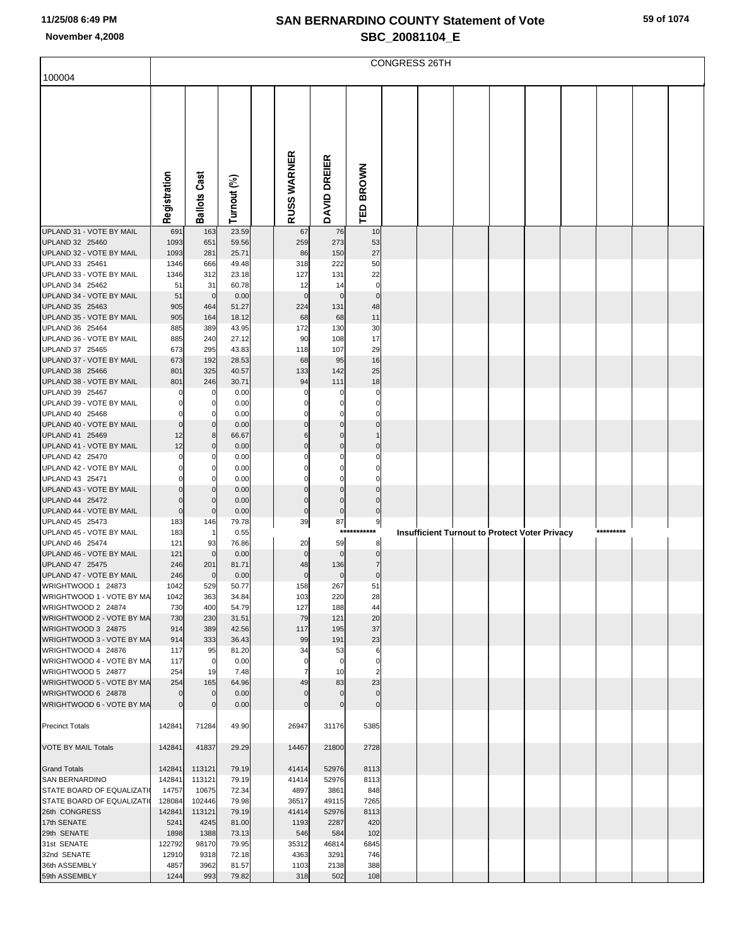| 100004                                          |                  |                     |                |                     |                          |                               | <b>CONGRESS 26TH</b> |  |                                                      |           |  |
|-------------------------------------------------|------------------|---------------------|----------------|---------------------|--------------------------|-------------------------------|----------------------|--|------------------------------------------------------|-----------|--|
|                                                 |                  |                     |                |                     |                          |                               |                      |  |                                                      |           |  |
|                                                 |                  |                     |                |                     |                          |                               |                      |  |                                                      |           |  |
|                                                 |                  |                     |                |                     |                          |                               |                      |  |                                                      |           |  |
|                                                 |                  |                     |                |                     |                          |                               |                      |  |                                                      |           |  |
|                                                 |                  |                     |                |                     |                          |                               |                      |  |                                                      |           |  |
|                                                 |                  |                     |                |                     |                          |                               |                      |  |                                                      |           |  |
|                                                 |                  |                     |                |                     |                          |                               |                      |  |                                                      |           |  |
|                                                 |                  |                     |                |                     |                          |                               |                      |  |                                                      |           |  |
|                                                 |                  |                     |                |                     |                          |                               |                      |  |                                                      |           |  |
|                                                 | Registration     | <b>Ballots Cast</b> | Turnout (%)    | <b>RUSS WARNER</b>  | DAVID DREIER             | TED BROWN                     |                      |  |                                                      |           |  |
|                                                 |                  |                     |                |                     |                          |                               |                      |  |                                                      |           |  |
| UPLAND 31 - VOTE BY MAIL<br>UPLAND 32 25460     | 691<br>1093      | 163                 | 23.59<br>59.56 | 67                  | 76<br>273                | 10                            |                      |  |                                                      |           |  |
| UPLAND 32 - VOTE BY MAIL                        | 1093             | 651<br>281          | 25.71          | 259<br>86           | 150                      | 53<br>27                      |                      |  |                                                      |           |  |
| UPLAND 33 25461                                 | 1346             | 666                 | 49.48          | 318                 | 222                      | 50                            |                      |  |                                                      |           |  |
| UPLAND 33 - VOTE BY MAIL                        | 1346             | 312                 | 23.18          | 127                 | 131                      | 22                            |                      |  |                                                      |           |  |
| UPLAND 34 25462                                 | 51               | 31                  | 60.78          | 12                  | 14                       | $\mathbf 0$                   |                      |  |                                                      |           |  |
| UPLAND 34 - VOTE BY MAIL<br>UPLAND 35 25463     | 51<br>905        | $\mathbf 0$<br>464  | 0.00<br>51.27  | $\mathbf 0$<br>224  | $\mathbf 0$<br>131       | $\mathbf 0$<br>48             |                      |  |                                                      |           |  |
| UPLAND 35 - VOTE BY MAIL                        | 905              | 164                 | 18.12          | 68                  | 68                       | 11                            |                      |  |                                                      |           |  |
| UPLAND 36 25464                                 | 885              | 389                 | 43.95          | 172                 | 130                      | 30                            |                      |  |                                                      |           |  |
| UPLAND 36 - VOTE BY MAIL                        | 885              | 240                 | 27.12          | 90                  | 108                      | 17                            |                      |  |                                                      |           |  |
| UPLAND 37 25465<br>UPLAND 37 - VOTE BY MAIL     | 673<br>673       | 295<br>192          | 43.83<br>28.53 | 118<br>68           | 107<br>95                | 29<br>16                      |                      |  |                                                      |           |  |
| UPLAND 38 25466                                 | 801              | 325                 | 40.57          | 133                 | 142                      | 25                            |                      |  |                                                      |           |  |
| UPLAND 38 - VOTE BY MAIL                        | 801              | 246                 | 30.71          | 94                  | 111                      | 18                            |                      |  |                                                      |           |  |
| UPLAND 39 25467                                 |                  | $\mathbf 0$         | 0.00           | $\Omega$            | 0                        | 0                             |                      |  |                                                      |           |  |
| UPLAND 39 - VOTE BY MAIL<br>UPLAND 40 25468     |                  | 0<br>$\Omega$       | 0.00<br>0.00   | $\Omega$            | $\mathbf 0$<br>O         | 0<br>0                        |                      |  |                                                      |           |  |
| UPLAND 40 - VOTE BY MAIL                        | O                | $\mathbf 0$         | 0.00           | $\mathbf{0}$        | $\Omega$                 | $\Omega$                      |                      |  |                                                      |           |  |
| UPLAND 41 25469                                 | 12               | 8                   | 66.67          | 6                   | $\Omega$                 |                               |                      |  |                                                      |           |  |
| UPLAND 41 - VOTE BY MAIL                        | 12               | $\mathbf 0$         | 0.00           | $\mathbf 0$         | $\mathbf 0$              | $\Omega$                      |                      |  |                                                      |           |  |
| UPLAND 42 25470<br>UPLAND 42 - VOTE BY MAIL     | O                | 0<br>$\mathbf 0$    | 0.00<br>0.00   | O<br>0              | $\Omega$<br>$\mathbf{0}$ | 0<br>0                        |                      |  |                                                      |           |  |
| UPLAND 43 25471                                 |                  | $\Omega$            | 0.00           | 0                   | $\Omega$                 | 0                             |                      |  |                                                      |           |  |
| UPLAND 43 - VOTE BY MAIL                        |                  | $\mathbf 0$         | 0.00           | $\mathbf 0$         | $\Omega$                 | $\Omega$                      |                      |  |                                                      |           |  |
| UPLAND 44 25472                                 |                  | $\mathbf 0$         | 0.00           | $\bf{0}$            | $\mathbf 0$              | $\mathbf 0$                   |                      |  |                                                      |           |  |
| UPLAND 44 - VOTE BY MAIL<br>UPLAND 45 25473     | $\Omega$<br>183  | $\mathbf 0$<br>146  | 0.00<br>79.78  | $\pmb{0}$<br>39     | $\bf 0$<br>87            | $\mathbf 0$<br>9              |                      |  |                                                      |           |  |
| UPLAND 45 - VOTE BY MAIL                        | 183              | -1                  | 0.55           |                     |                          | ***********                   |                      |  | <b>Insufficient Turnout to Protect Voter Privacy</b> | ********* |  |
| UPLAND 46 25474                                 | 121              | 93                  | 76.86          | 20                  | 59                       | 8                             |                      |  |                                                      |           |  |
| UPLAND 46 - VOTE BY MAIL                        | 121              | $\mathbf 0$         | 0.00           | $\mathbf 0$         | $\mathbf 0$              | $\mathbf 0$<br>$\overline{7}$ |                      |  |                                                      |           |  |
| UPLAND 47 25475<br>UPLAND 47 - VOTE BY MAIL     | 246<br>246       | 201<br>$\mathbf 0$  | 81.71<br>0.00  | 48<br>$\pmb{0}$     | 136<br>$\bf 0$           | $\pmb{0}$                     |                      |  |                                                      |           |  |
| WRIGHTWOOD 1 24873                              | 1042             | 529                 | 50.77          | 158                 | 267                      | 51                            |                      |  |                                                      |           |  |
| WRIGHTWOOD 1 - VOTE BY MA                       | 1042             | 363                 | 34.84          | 103                 | 220                      | 28                            |                      |  |                                                      |           |  |
| WRIGHTWOOD 2 24874<br>WRIGHTWOOD 2 - VOTE BY MA | 730              | 400<br>230          | 54.79          | 127<br>79           | 188<br>121               | 44                            |                      |  |                                                      |           |  |
| WRIGHTWOOD 3 24875                              | 730<br>914       | 389                 | 31.51<br>42.56 | 117                 | 195                      | 20<br>37                      |                      |  |                                                      |           |  |
| WRIGHTWOOD 3 - VOTE BY MA                       | 914              | 333                 | 36.43          | 99                  | 191                      | 23                            |                      |  |                                                      |           |  |
| WRIGHTWOOD 4 24876                              | 117              | 95                  | 81.20          | 34                  | 53                       | 6                             |                      |  |                                                      |           |  |
| WRIGHTWOOD 4 - VOTE BY MA<br>WRIGHTWOOD 5 24877 | 117<br>254       | 0<br>19             | 0.00<br>7.48   | 0<br>$\overline{7}$ | $\mathbf 0$<br>10        | 0<br>$\overline{2}$           |                      |  |                                                      |           |  |
| WRIGHTWOOD 5 - VOTE BY MA                       | 254              | 165                 | 64.96          | 49                  | 83                       | 23                            |                      |  |                                                      |           |  |
| WRIGHTWOOD 6 24878                              |                  | $\mathbf 0$         | 0.00           | $\Omega$            | $\Omega$                 | $\mathbf 0$                   |                      |  |                                                      |           |  |
| WRIGHTWOOD 6 - VOTE BY MA                       |                  | $\mathbf 0$         | 0.00           | $\mathbf 0$         | $\mathbf 0$              | $\mathbf 0$                   |                      |  |                                                      |           |  |
| <b>Precinct Totals</b>                          | 142841           | 71284               | 49.90          | 26947               | 31176                    | 5385                          |                      |  |                                                      |           |  |
|                                                 |                  |                     |                |                     |                          |                               |                      |  |                                                      |           |  |
| <b>VOTE BY MAIL Totals</b>                      | 142841           | 41837               | 29.29          | 14467               | 21800                    | 2728                          |                      |  |                                                      |           |  |
|                                                 |                  |                     |                |                     |                          |                               |                      |  |                                                      |           |  |
| <b>Grand Totals</b><br><b>SAN BERNARDINO</b>    | 142841<br>142841 | 113121<br>113121    | 79.19<br>79.19 | 41414<br>41414      | 52976<br>52976           | 8113<br>8113                  |                      |  |                                                      |           |  |
| <b>STATE BOARD OF EQUALIZATI</b>                | 14757            | 10675               | 72.34          | 4897                | 3861                     | 848                           |                      |  |                                                      |           |  |
| STATE BOARD OF EQUALIZATI                       | 128084           | 102446              | 79.98          | 36517               | 49115                    | 7265                          |                      |  |                                                      |           |  |
| 26th CONGRESS                                   | 142841           | 113121              | 79.19          | 41414               | 52976                    | 8113                          |                      |  |                                                      |           |  |
| 17th SENATE<br>29th SENATE                      | 5241<br>1898     | 4245<br>1388        | 81.00<br>73.13 | 1193<br>546         | 2287<br>584              | 420<br>102                    |                      |  |                                                      |           |  |
| 31st SENATE                                     | 122792           | 98170               | 79.95          | 35312               | 46814                    | 6845                          |                      |  |                                                      |           |  |
| 32nd SENATE                                     | 12910            | 9318                | 72.18          | 4363                | 3291                     | 746                           |                      |  |                                                      |           |  |
| 36th ASSEMBLY                                   | 4857             | 3962                | 81.57          | 1103                | 2138                     | 388                           |                      |  |                                                      |           |  |
| 59th ASSEMBLY                                   | 1244             | 993                 | 79.82          | 318                 | 502                      | 108                           |                      |  |                                                      |           |  |